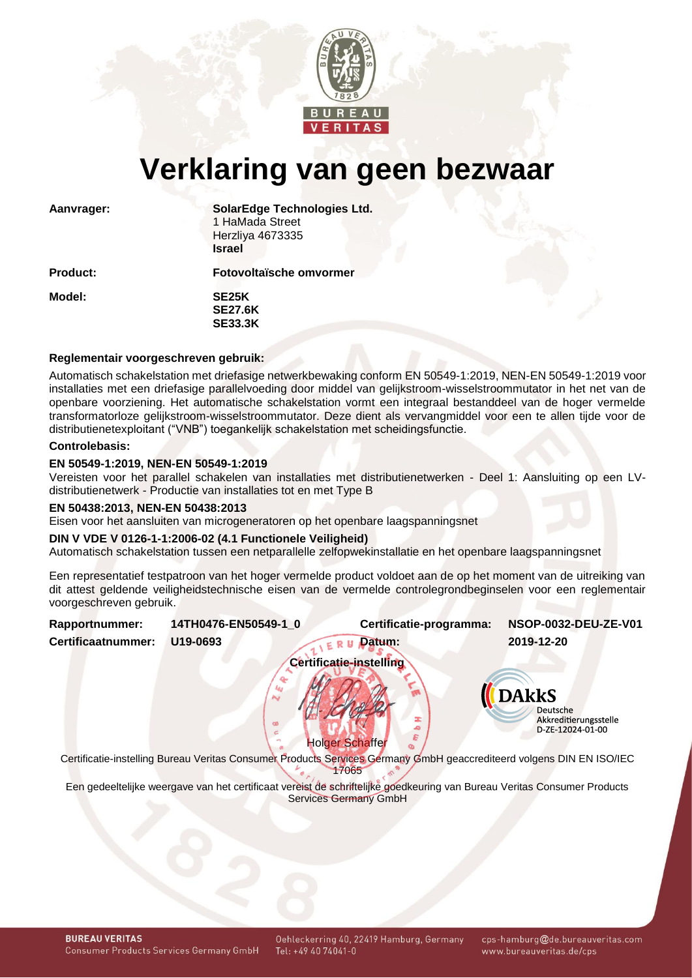

# **Verklaring van geen bezwaar**

**Aanvrager: SolarEdge Technologies Ltd.** 1 HaMada Street Herzliya 4673335 **Israel**

**Product: Fotovoltaïsche omvormer**

**Model: SE25K SE27.6K SE33.3K**

# **Reglementair voorgeschreven gebruik:**

Automatisch schakelstation met driefasige netwerkbewaking conform EN 50549-1:2019, NEN-EN 50549-1:2019 voor installaties met een driefasige parallelvoeding door middel van gelijkstroom-wisselstroommutator in het net van de openbare voorziening. Het automatische schakelstation vormt een integraal bestanddeel van de hoger vermelde transformatorloze gelijkstroom-wisselstroommutator. Deze dient als vervangmiddel voor een te allen tijde voor de distributienetexploitant ("VNB") toegankelijk schakelstation met scheidingsfunctie.

## **Controlebasis:**

# **EN 50549-1:2019, NEN-EN 50549-1:2019**

Vereisten voor het parallel schakelen van installaties met distributienetwerken - Deel 1: Aansluiting op een LVdistributienetwerk - Productie van installaties tot en met Type B

#### **EN 50438:2013, NEN-EN 50438:2013**

Eisen voor het aansluiten van microgeneratoren op het openbare laagspanningsnet

## **DIN V VDE V 0126-1-1:2006-02 (4.1 Functionele Veiligheid)**

Automatisch schakelstation tussen een netparallelle zelfopwekinstallatie en het openbare laagspanningsnet

Een representatief testpatroon van het hoger vermelde product voldoet aan de op het moment van de uitreiking van dit attest geldende veiligheidstechnische eisen van de vermelde controlegrondbeginselen voor een reglementair voorgeschreven gebruik.

<span id="page-0-1"></span><span id="page-0-0"></span>

| Rapportnummer:     | 14TH0476-EN50549-1_0 | Certificatie-programma:                                                                                                                                 | NSOP-0032-DEU-ZE-V01                                                                |
|--------------------|----------------------|---------------------------------------------------------------------------------------------------------------------------------------------------------|-------------------------------------------------------------------------------------|
| Certificaatnummer: | U19-0693             | Datum:                                                                                                                                                  | 2019-12-20                                                                          |
|                    |                      | <b>Certificatie-instelling</b>                                                                                                                          |                                                                                     |
|                    | N                    | <b>Holger Schaffer</b><br>Certificatie-instelling Bureau Veritas Consumer Products Services Germany GmbH geaccrediteerd volgens DIN EN ISO/IEC<br>17065 | <b>DAkkS</b><br><b>Deutsche</b><br><b>Akkreditierungsstelle</b><br>D-ZE-12024-01-00 |
|                    |                      | Een gedeeltelijke weergave van het certificaat vereist de schriftelijke goedkeuring van Bureau Veritas Consumer Products<br>Services Germany GmbH       |                                                                                     |
|                    |                      |                                                                                                                                                         |                                                                                     |

cps-hamburg@de.bureauveritas.com www.bureauveritas.de/cps